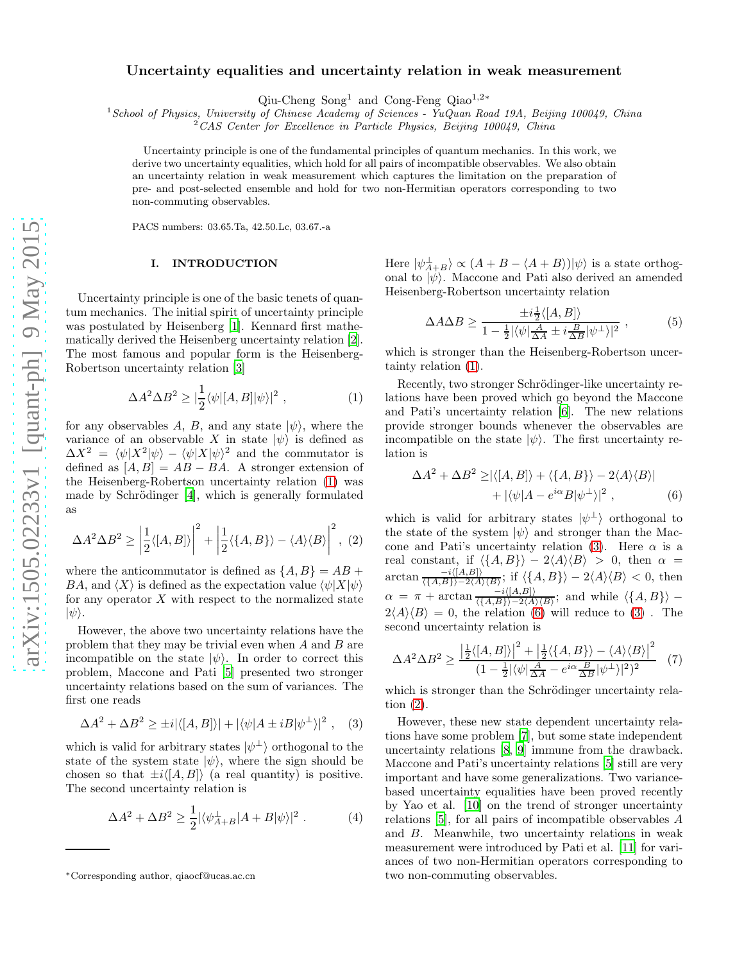# Uncertainty equalities and uncertainty relation in weak measurement

Qiu-Cheng Song<sup>1</sup> and Cong-Feng Qiao1,2<sup>∗</sup>

 $1$ School of Physics, University of Chinese Academy of Sciences - YuQuan Road 19A, Beijing 100049, China

 $2^2$ CAS Center for Excellence in Particle Physics, Beijing 100049, China

Uncertainty principle is one of the fundamental principles of quantum mechanics. In this work, we derive two uncertainty equalities, which hold for all pairs of incompatible observables. We also obtain an uncertainty relation in weak measurement which captures the limitation on the preparation of pre- and post-selected ensemble and hold for two non-Hermitian operators corresponding to two non-commuting observables.

PACS numbers: 03.65.Ta, 42.50.Lc, 03.67.-a

#### I. INTRODUCTION

Uncertainty principle is one of the basic tenets of quantum mechanics. The initial spirit of uncertainty principle was postulated by Heisenberg [\[1\]](#page-3-0). Kennard first mathematically derived the Heisenberg uncertainty relation [\[2\]](#page-3-1). The most famous and popular form is the Heisenberg-Robertson uncertainty relation [\[3](#page-3-2)]

<span id="page-0-0"></span>
$$
\Delta A^2 \Delta B^2 \ge |\frac{1}{2} \langle \psi | [A, B] | \psi \rangle|^2 , \qquad (1)
$$

for any observables A, B, and any state  $|\psi\rangle$ , where the variance of an observable X in state  $|\psi\rangle$  is defined as  $\Delta X^2 = \langle \psi | X^2 | \psi \rangle - \langle \psi | X | \psi \rangle^2$  and the commutator is defined as  $[A, B] = AB - BA$ . A stronger extension of the Heisenberg-Robertson uncertainty relation [\(1\)](#page-0-0) was made by Schrödinger  $[4]$ , which is generally formulated as

<span id="page-0-3"></span>
$$
\Delta A^2 \Delta B^2 \ge \left| \frac{1}{2} \langle [A, B] \rangle \right|^2 + \left| \frac{1}{2} \langle \{A, B\} \rangle - \langle A \rangle \langle B \rangle \right|^2, (2)
$$

where the anticommutator is defined as  $\{A, B\} = AB +$ BA, and  $\langle X \rangle$  is defined as the expectation value  $\langle \psi | X | \psi \rangle$ for any operator  $X$  with respect to the normalized state  $|\psi\rangle$ .

However, the above two uncertainty relations have the problem that they may be trivial even when A and B are incompatible on the state  $|\psi\rangle$ . In order to correct this problem, Maccone and Pati [\[5](#page-3-4)] presented two stronger uncertainty relations based on the sum of variances. The first one reads

<span id="page-0-1"></span>
$$
\Delta A^2 + \Delta B^2 \ge \pm i |\langle [A, B] \rangle| + |\langle \psi | A \pm i B | \psi^{\perp} \rangle|^2 , \quad (3)
$$

which is valid for arbitrary states  $|\psi^{\perp}\rangle$  orthogonal to the state of the system state  $|\psi\rangle$ , where the sign should be chosen so that  $\pm i\langle [A, B]\rangle$  (a real quantity) is positive. The second uncertainty relation is

$$
\Delta A^2 + \Delta B^2 \ge \frac{1}{2} |\langle \psi_{A+B}^{\perp} | A + B | \psi \rangle|^2 . \tag{4}
$$

Here  $|\psi_{A+B}^{\perp}\rangle \propto (A+B-\langle A+B \rangle)|\psi\rangle$  is a state orthogonal to  $|\psi\rangle$ . Maccone and Pati also derived an amended Heisenberg-Robertson uncertainty relation

$$
\Delta A \Delta B \ge \frac{\pm i \frac{1}{2} \langle [A, B] \rangle}{1 - \frac{1}{2} |\langle \psi | \frac{A}{\Delta A} \pm i \frac{B}{\Delta B} | \psi^{\perp} \rangle |^2},\tag{5}
$$

which is stronger than the Heisenberg-Robertson uncertainty relation [\(1\)](#page-0-0).

Recently, two stronger Schrödinger-like uncertainty relations have been proved which go beyond the Maccone and Pati's uncertainty relation [\[6](#page-3-5)]. The new relations provide stronger bounds whenever the observables are incompatible on the state  $|\psi\rangle$ . The first uncertainty relation is

<span id="page-0-2"></span>
$$
\Delta A^2 + \Delta B^2 \ge |\langle [A, B] \rangle + \langle \{A, B\} \rangle - 2 \langle A \rangle \langle B \rangle|
$$
  
+  $|\langle \psi | A - e^{i\alpha} B | \psi^{\perp} \rangle|^2$ , (6)

which is valid for arbitrary states  $|\psi^{\perp}\rangle$  orthogonal to the state of the system  $|\psi\rangle$  and stronger than the Mac-cone and Pati's uncertainty relation [\(3\)](#page-0-1). Here  $\alpha$  is a real constant, if  $\langle \{A, B\}\rangle - 2\langle A\rangle\langle B\rangle > 0$ , then  $\alpha =$  $\arctan \frac{-i\langle [A,B]\rangle}{\langle \{A,B\}\rangle - 2\langle A\rangle\langle B\rangle}$ ; if  $\langle \{A,B\}\rangle - 2\langle A\rangle\langle B\rangle < 0$ , then  $\alpha = \pi + \arctan \frac{-i\langle [A,B] \rangle}{\langle \{A,B\} \rangle - 2\langle A \rangle \langle B \rangle};$  and while  $\langle \{A,B\} \rangle$  –  $2\langle A \rangle \langle B \rangle = 0$ , the relation [\(6\)](#page-0-2) will reduce to [\(3\)](#page-0-1). The second uncertainty relation is

<span id="page-0-4"></span>
$$
\Delta A^2 \Delta B^2 \ge \frac{\left|\frac{1}{2}\langle [A,B]\rangle\right|^2 + \left|\frac{1}{2}\langle \{A,B\}\rangle - \langle A\rangle\langle B\rangle\right|^2}{(1 - \frac{1}{2}|\langle \psi| \frac{A}{\Delta A} - e^{i\alpha} \frac{B}{\Delta B} |\psi^{\perp}\rangle|^2)^2} \tag{7}
$$

which is stronger than the Schrödinger uncertainty relation [\(2\)](#page-0-3).

However, these new state dependent uncertainty relations have some problem [\[7](#page-3-6)], but some state independent uncertainty relations [\[8](#page-3-7), [9](#page-3-8)] immune from the drawback. Maccone and Pati's uncertainty relations [\[5\]](#page-3-4) still are very important and have some generalizations. Two variancebased uncertainty equalities have been proved recently by Yao et al. [\[10](#page-3-9)] on the trend of stronger uncertainty relations [\[5\]](#page-3-4), for all pairs of incompatible observables A and B. Meanwhile, two uncertainty relations in weak measurement were introduced by Pati et al. [\[11\]](#page-3-10) for variances of two non-Hermitian operators corresponding to two non-commuting observables.

<sup>∗</sup>Corresponding author, qiaocf@ucas.ac.cn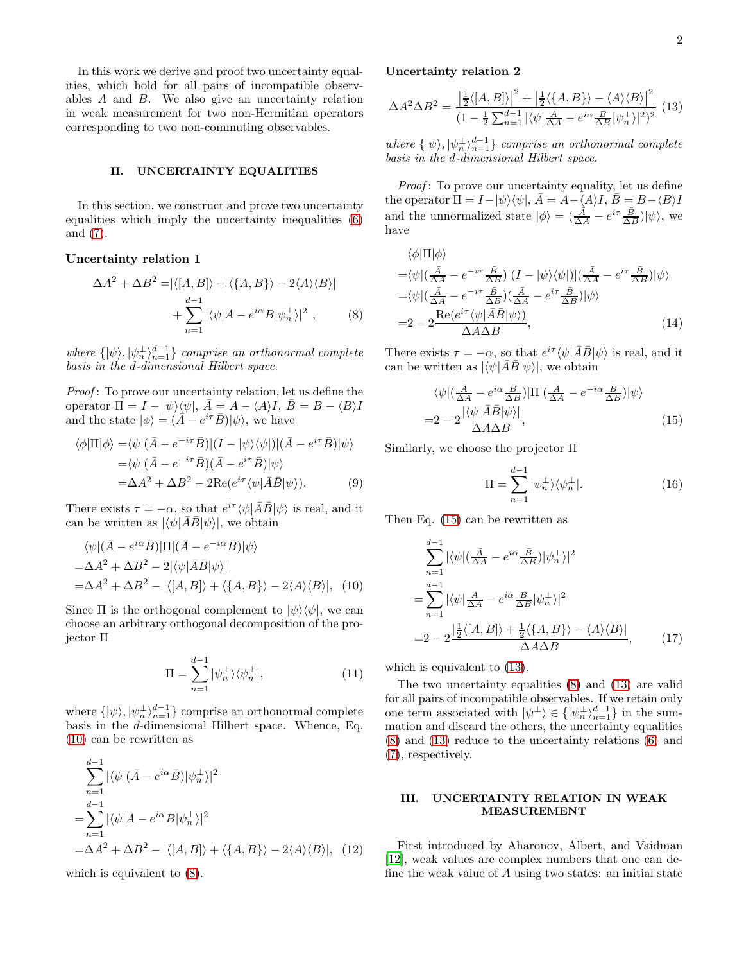In this work we derive and proof two uncertainty equalities, which hold for all pairs of incompatible observables A and B. We also give an uncertainty relation in weak measurement for two non-Hermitian operators corresponding to two non-commuting observables.

#### II. UNCERTAINTY EQUALITIES

In this section, we construct and prove two uncertainty equalities which imply the uncertainty inequalities [\(6\)](#page-0-2) and [\(7\)](#page-0-4).

# Uncertainty relation 1

$$
\Delta A^2 + \Delta B^2 = |\langle [A, B] \rangle + \langle \{A, B\} \rangle - 2 \langle A \rangle \langle B \rangle|
$$
  
+ 
$$
\sum_{n=1}^{d-1} |\langle \psi | A - e^{i\alpha} B | \psi_n^{\perp} \rangle|^2 , \qquad (8)
$$

where  $\{|\psi\rangle, |\psi^{\perp}_n\rangle_{n=1}^{d-1}\}$  comprise an orthonormal complete basis in the d-dimensional Hilbert space.

Proof: To prove our uncertainty relation, let us define the operator  $\Pi = I - |\psi\rangle\langle\psi|, \overline{A} = A - \langle A \rangle I, \overline{B} = B - \langle B \rangle I$ and the state  $|\phi\rangle = (\overline{\vec{A}} - e^{i\tau}\bar{B})|\psi\rangle$ , we have

$$
\langle \phi | \Pi | \phi \rangle = \langle \psi | (\bar{A} - e^{-i\tau} \bar{B}) | (I - |\psi\rangle\langle\psi|) | (\bar{A} - e^{i\tau} \bar{B}) | \psi \rangle \n= \langle \psi | (\bar{A} - e^{-i\tau} \bar{B}) (\bar{A} - e^{i\tau} \bar{B}) | \psi \rangle \n= \Delta A^2 + \Delta B^2 - 2 \text{Re}(e^{i\tau} \langle \psi | \bar{A} \bar{B} | \psi \rangle).
$$
\n(9)

There exists  $\tau = -\alpha$ , so that  $e^{i\tau} \langle \psi | \bar{A}\bar{B} | \psi \rangle$  is real, and it can be written as  $|\langle \psi | \overline{A}\overline{B}|\psi \rangle|$ , we obtain

$$
\langle \psi | (\bar{A} - e^{i\alpha} \bar{B}) | \Pi | (\bar{A} - e^{-i\alpha} \bar{B}) | \psi \rangle
$$
  
=  $\Delta A^2 + \Delta B^2 - 2 |\langle \psi | \bar{A} \bar{B} | \psi \rangle|$   
=  $\Delta A^2 + \Delta B^2 - |\langle [A, B] \rangle + \langle \{A, B\} \rangle - 2 \langle A \rangle \langle B \rangle|,$  (10)

Since  $\Pi$  is the orthogonal complement to  $|\psi\rangle\langle\psi|$ , we can choose an arbitrary orthogonal decomposition of the projector Π

$$
\Pi = \sum_{n=1}^{d-1} |\psi_n^{\perp}\rangle\langle\psi_n^{\perp}|,\tag{11}
$$

where  $\{|\psi\rangle, |\psi^{\perp}_n\rangle_{n=1}^{d-1}\}$  comprise an orthonormal complete basis in the d-dimensional Hilbert space. Whence, Eq. [\(10\)](#page-1-0) can be rewritten as

$$
\sum_{n=1}^{d-1} |\langle \psi | (\bar{A} - e^{i\alpha} \bar{B}) | \psi_n^{\perp} \rangle|^2
$$
  
= 
$$
\sum_{n=1}^{d-1} |\langle \psi | A - e^{i\alpha} B | \psi_n^{\perp} \rangle|^2
$$
  
= 
$$
\Delta A^2 + \Delta B^2 - |\langle [A, B] \rangle + \langle \{A, B\} \rangle - 2 \langle A \rangle \langle B \rangle|, \quad (12)
$$

which is equivalent to [\(8\)](#page-1-1).

## Uncertainty relation 2

<span id="page-1-3"></span>
$$
\Delta A^2 \Delta B^2 = \frac{\left| \frac{1}{2} \langle [A, B] \rangle \right|^2 + \left| \frac{1}{2} \langle \{A, B\} \rangle - \langle A \rangle \langle B \rangle \right|^2}{(1 - \frac{1}{2} \sum_{n=1}^{d-1} |\langle \psi | \frac{A}{\Delta A} - e^{i\alpha} \frac{B}{\Delta B} |\psi_n^{\perp} \rangle|^2)^2}
$$
(13)

where  $\{|\psi\rangle, |\psi^{\perp}_n\rangle_{n=1}^{d-1}\}$  comprise an orthonormal complete basis in the d-dimensional Hilbert space.

Proof: To prove our uncertainty equality, let us define the operator  $\Pi = I - |\psi\rangle\langle\psi|, \bar{A} = A - \langle A \rangle I, \bar{B} = B - \langle B \rangle I$ and the unnormalized state  $|\phi\rangle = \left(\frac{\hat{A}}{\Delta A} - e^{i\tau} \frac{\bar{B}}{\Delta B}\right) |\psi\rangle$ , we have

$$
\langle \phi | \Pi | \phi \rangle
$$
  
=\langle \psi | (\frac{\bar{A}}{\Delta A} - e^{-i\tau} \frac{\bar{B}}{\Delta B}) | (I - |\psi\rangle\langle\psi|) | (\frac{\bar{A}}{\Delta A} - e^{i\tau} \frac{\bar{B}}{\Delta B}) | \psi \rangle   
=\langle \psi | (\frac{\bar{A}}{\Delta A} - e^{-i\tau} \frac{\bar{B}}{\Delta B}) (\frac{\bar{A}}{\Delta A} - e^{i\tau} \frac{\bar{B}}{\Delta B}) | \psi \rangle   
= 2 - 2 \frac{\text{Re}(e^{i\tau} \langle \psi | \bar{A} \bar{B} | \psi \rangle)}{\Delta A \Delta B}, \qquad (14)

<span id="page-1-1"></span>There exists  $\tau = -\alpha$ , so that  $e^{i\tau} \langle \psi | \bar{A} \bar{B} | \psi \rangle$  is real, and it can be written as  $|\langle \psi | \overline{A}\overline{B}|\psi \rangle|$ , we obtain

$$
\langle \psi | (\frac{\bar{A}}{\Delta A} - e^{i\alpha} \frac{\bar{B}}{\Delta B}) | \Pi | (\frac{\bar{A}}{\Delta A} - e^{-i\alpha} \frac{\bar{B}}{\Delta B}) | \psi \rangle
$$
  
= 2 - 2  $\frac{|\langle \psi | \bar{A} \bar{B} | \psi \rangle|}{\Delta A \Delta B}$ , (15)

Similarly, we choose the projector Π

<span id="page-1-2"></span>
$$
\Pi = \sum_{n=1}^{d-1} |\psi_n^{\perp}\rangle\langle\psi_n^{\perp}|. \tag{16}
$$

<span id="page-1-0"></span>Then Eq. [\(15\)](#page-1-2) can be rewritten as

$$
\sum_{n=1}^{d-1} |\langle \psi | (\frac{\bar{A}}{\Delta A} - e^{i\alpha} \frac{\bar{B}}{\Delta B}) | \psi_n^{\perp} \rangle|^2
$$
  
= 
$$
\sum_{n=1}^{d-1} |\langle \psi | \frac{A}{\Delta A} - e^{i\alpha} \frac{B}{\Delta B} | \psi_n^{\perp} \rangle|^2
$$
  
= 
$$
2 - 2 \frac{|\frac{1}{2} \langle [A, B] \rangle + \frac{1}{2} \langle \{A, B\} \rangle - \langle A \rangle \langle B \rangle|}{\Delta A \Delta B},
$$
(17)

which is equivalent to [\(13\)](#page-1-3).

The two uncertainty equalities [\(8\)](#page-1-1) and [\(13\)](#page-1-3) are valid for all pairs of incompatible observables. If we retain only one term associated with  $|\psi^{\perp}\rangle \in \{|\psi^{\perp}_{n}\rangle_{n=1}^{d-1}\}$  in the summation and discard the others, the uncertainty equalities [\(8\)](#page-1-1) and [\(13\)](#page-1-3) reduce to the uncertainty relations [\(6\)](#page-0-2) and [\(7\)](#page-0-4), respectively.

# III. UNCERTAINTY RELATION IN WEAK MEASUREMENT

First introduced by Aharonov, Albert, and Vaidman [\[12\]](#page-3-11), weak values are complex numbers that one can define the weak value of A using two states: an initial state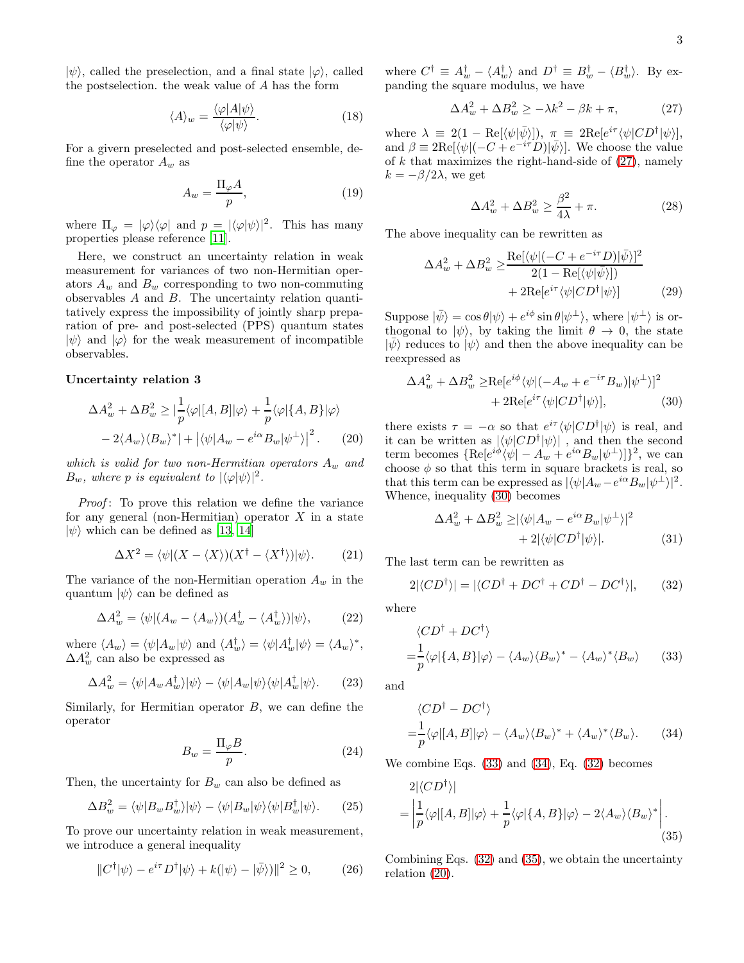$|\psi\rangle$ , called the preselection, and a final state  $|\varphi\rangle$ , called the postselection. the weak value of A has the form

$$
\langle A \rangle_w = \frac{\langle \varphi | A | \psi \rangle}{\langle \varphi | \psi \rangle}.
$$
 (18)

For a givern preselected and post-selected ensemble, define the operator  $A_w$  as

$$
A_w = \frac{\Pi_\varphi A}{p},\tag{19}
$$

where  $\Pi_{\varphi} = |\varphi\rangle\langle\varphi|$  and  $p = |\langle\varphi|\psi\rangle|^2$ . This has many properties please reference [\[11\]](#page-3-10).

Here, we construct an uncertainty relation in weak measurement for variances of two non-Hermitian operators  $A_w$  and  $B_w$  corresponding to two non-commuting observables A and B. The uncertainty relation quantitatively express the impossibility of jointly sharp preparation of pre- and post-selected (PPS) quantum states  $|\psi\rangle$  and  $|\varphi\rangle$  for the weak measurement of incompatible observables.

### Uncertainty relation 3

$$
\Delta A_w^2 + \Delta B_w^2 \ge |\frac{1}{p}\langle \varphi | [A, B] | \varphi \rangle + \frac{1}{p} \langle \varphi | \{A, B\} | \varphi \rangle
$$
  
- 2\langle A\_w \rangle \langle B\_w \rangle^\* | + | \langle \psi | A\_w - e^{i\alpha} B\_w | \psi^{\perp} \rangle |^2. (20)

which is valid for two non-Hermitian operators  $A_w$  and  $B_w$ , where p is equivalent to  $|\langle \varphi | \psi \rangle|^2$ .

Proof: To prove this relation we define the variance for any general (non-Hermitian) operator  $X$  in a state  $|\psi\rangle$  which can be defined as [\[13,](#page-3-12) [14\]](#page-3-13)

$$
\Delta X^2 = \langle \psi | (X - \langle X \rangle)(X^{\dagger} - \langle X^{\dagger} \rangle) | \psi \rangle.
$$
 (21)

The variance of the non-Hermitian operation  $A_w$  in the quantum  $|\psi\rangle$  can be defined as

$$
\Delta A_w^2 = \langle \psi | (A_w - \langle A_w \rangle)(A_w^{\dagger} - \langle A_w^{\dagger} \rangle) | \psi \rangle, \tag{22}
$$

where  $\langle A_w \rangle = \langle \psi | A_w | \psi \rangle$  and  $\langle A_w^{\dagger} \rangle = \langle \psi | A_w^{\dagger} | \psi \rangle = \langle A_w \rangle^*$ ,  $\Delta A_w^2$  can also be expressed as

$$
\Delta A_w^2 = \langle \psi | A_w A_w^{\dagger} \rangle | \psi \rangle - \langle \psi | A_w | \psi \rangle \langle \psi | A_w^{\dagger} | \psi \rangle. \tag{23}
$$

Similarly, for Hermitian operator  $B$ , we can define the operator

$$
B_w = \frac{\Pi_\varphi B}{p}.\tag{24}
$$

Then, the uncertainty for  $B_w$  can also be defined as

$$
\Delta B_w^2 = \langle \psi | B_w B_w^{\dagger} \rangle | \psi \rangle - \langle \psi | B_w | \psi \rangle \langle \psi | B_w^{\dagger} | \psi \rangle. \tag{25}
$$

To prove our uncertainty relation in weak measurement, we introduce a general inequality

$$
||C^{\dagger}|\psi\rangle - e^{i\tau}D^{\dagger}|\psi\rangle + k(|\psi\rangle - |\bar{\psi}\rangle)||^2 \ge 0, \qquad (26)
$$

where  $C^{\dagger} \equiv A^{\dagger}_w - \langle A^{\dagger}_w \rangle$  and  $D^{\dagger} \equiv B^{\dagger}_w - \langle B^{\dagger}_w \rangle$ . By expanding the square modulus, we have

<span id="page-2-0"></span>
$$
\Delta A_w^2 + \Delta B_w^2 \ge -\lambda k^2 - \beta k + \pi, \tag{27}
$$

where  $\lambda \equiv 2(1 - \text{Re}[\langle \psi | \bar{\psi} \rangle])$ ,  $\pi \equiv 2\text{Re}[e^{i\tau} \langle \psi | CD^{\dagger} | \psi \rangle],$ and  $\beta \equiv 2\text{Re}[\langle \psi | (-C + e^{-i\tau}D)|\bar{\psi}\rangle]$ . We choose the value of  $k$  that maximizes the right-hand-side of  $(27)$ , namely  $k = -\beta/2\lambda$ , we get

$$
\Delta A_w^2 + \Delta B_w^2 \ge \frac{\beta^2}{4\lambda} + \pi.
$$
 (28)

The above inequality can be rewritten as

$$
\Delta A_w^2 + \Delta B_w^2 \ge \frac{\text{Re}[\langle \psi | (-C + e^{-i\tau} D) | \bar{\psi} \rangle]^2}{2(1 - \text{Re}[\langle \psi | \bar{\psi} \rangle])} + 2\text{Re}[e^{i\tau} \langle \psi | CD^{\dagger} | \psi \rangle] \tag{29}
$$

Suppose  $|\bar{\psi}\rangle = \cos \theta |\psi\rangle + e^{i\phi} \sin \theta |\psi^{\perp}\rangle$ , where  $|\psi^{\perp}\rangle$  is orthogonal to  $|\psi\rangle$ , by taking the limit  $\theta \to 0$ , the state  $|\bar{\psi}\rangle$  reduces to  $|\psi\rangle$  and then the above inequality can be reexpressed as

<span id="page-2-1"></span>
$$
\Delta A_w^2 + \Delta B_w^2 \ge \text{Re}[e^{i\phi}\langle\psi|(-A_w + e^{-i\tau}B_w)|\psi^\perp\rangle]^2
$$
  
+ 
$$
2\text{Re}[e^{i\tau}\langle\psi|CD^\dagger|\psi\rangle], \tag{30}
$$

<span id="page-2-6"></span>there exists  $\tau = -\alpha$  so that  $e^{i\tau} \langle \psi | CD^{\dagger} | \psi \rangle$  is real, and it can be written as  $|\langle \psi | CD^{\dagger} | \psi \rangle|$ , and then the second term becomes  $\{\text{Re}[e^{i\phi}\langle \psi| - A_w + e^{i\alpha}B_w | \psi^{\perp} \rangle]\}^2$ , we can choose  $\phi$  so that this term in square brackets is real, so that this term can be expressed as  $|\langle \psi | A_w - e^{i\alpha} B_w | \psi^{\perp} \rangle|^2$ . Whence, inequality [\(30\)](#page-2-1) becomes

<span id="page-2-4"></span>
$$
\Delta A_w^2 + \Delta B_w^2 \ge |\langle \psi | A_w - e^{i\alpha} B_w | \psi^\perp \rangle|^2
$$
  
+ 2|\langle \psi | CD^\dagger | \psi \rangle|. (31)

The last term can be rewritten as

$$
2|\langle CD^{\dagger}\rangle| = |\langle CD^{\dagger} + DC^{\dagger} + CD^{\dagger} - DC^{\dagger}\rangle|, \qquad (32)
$$

where

$$
\langle CD^{\dagger} + DC^{\dagger} \rangle
$$
  
=  $\frac{1}{p} \langle \varphi | \{A, B\} | \varphi \rangle - \langle A_w \rangle \langle B_w \rangle^* - \langle A_w \rangle^* \langle B_w \rangle$  (33)

and

<span id="page-2-3"></span><span id="page-2-2"></span>
$$
\langle CD^{\dagger} - DC^{\dagger} \rangle
$$
  
=  $\frac{1}{p} \langle \varphi | [A, B] | \varphi \rangle - \langle A_w \rangle \langle B_w \rangle^* + \langle A_w \rangle^* \langle B_w \rangle.$  (34)

We combine Eqs. [\(33\)](#page-2-2) and [\(34\)](#page-2-3), Eq. [\(32\)](#page-2-4) becomes

<span id="page-2-5"></span>
$$
2|\langle CD^{\dagger}\rangle|
$$
  
=  $\left|\frac{1}{p}\langle\varphi|[A,B]|\varphi\rangle + \frac{1}{p}\langle\varphi|\{A,B\}|\varphi\rangle - 2\langle A_w\rangle\langle B_w\rangle^*\right|$ . (35)

Combining Eqs. [\(32\)](#page-2-4) and [\(35\)](#page-2-5), we obtain the uncertainty relation [\(20\)](#page-2-6).